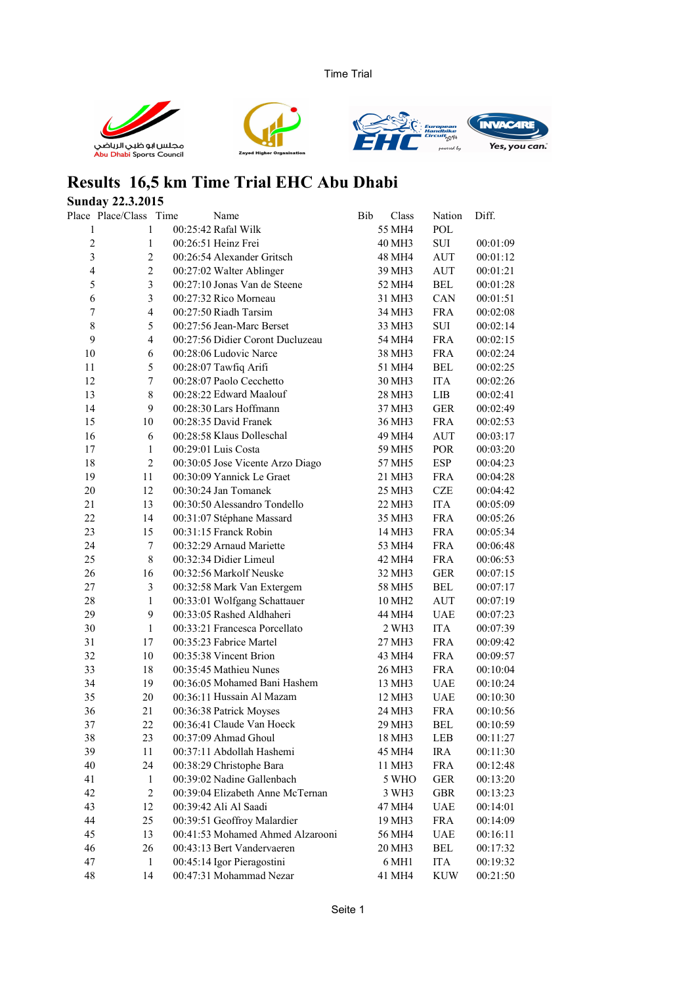Time Trial







## **Results 16,5 km Time Trial EHC Abu Dhabi**

## **Sunday 22.3.2015**<br>Place Place/Class Tir

|                         | Place Place/Class Time | Name                             | Bib | Class              | Nation     | Diff.    |
|-------------------------|------------------------|----------------------------------|-----|--------------------|------------|----------|
| 1                       | $\mathbf{1}$           | 00:25:42 Rafal Wilk              |     | 55 MH4             | <b>POL</b> |          |
| $\overline{c}$          | $\mathbf{1}$           | 00:26:51 Heinz Frei              |     | 40 MH3             | SUI        | 00:01:09 |
| $\overline{\mathbf{3}}$ | $\overline{2}$         | 00:26:54 Alexander Gritsch       |     | 48 MH4             | AUT        | 00:01:12 |
| $\overline{4}$          | $\overline{c}$         | 00:27:02 Walter Ablinger         |     | 39 MH3             | <b>AUT</b> | 00:01:21 |
| 5                       | 3                      | 00:27:10 Jonas Van de Steene     |     | 52 MH4             | <b>BEL</b> | 00:01:28 |
| 6                       | 3                      | 00:27:32 Rico Morneau            |     | 31 MH3             | CAN        | 00:01:51 |
| $\boldsymbol{7}$        | $\overline{4}$         | 00:27:50 Riadh Tarsim            |     | 34 MH3             | <b>FRA</b> | 00:02:08 |
| $\,$ $\,$               | 5                      | 00:27:56 Jean-Marc Berset        |     | 33 MH3             | SUI        | 00:02:14 |
| 9                       | $\overline{4}$         | 00:27:56 Didier Coront Ducluzeau |     | 54 MH4             | <b>FRA</b> | 00:02:15 |
| 10                      | 6                      | 00:28:06 Ludovic Narce           |     | 38 MH3             | <b>FRA</b> | 00:02:24 |
| 11                      | 5                      | 00:28:07 Tawfiq Arifi            |     | 51 MH4             | <b>BEL</b> | 00:02:25 |
| 12                      | $\overline{7}$         | 00:28:07 Paolo Cecchetto         |     | 30 MH3             | <b>ITA</b> | 00:02:26 |
| 13                      | $\,$ 8 $\,$            | 00:28:22 Edward Maalouf          |     | 28 MH3             | LIB        | 00:02:41 |
| 14                      | 9                      | 00:28:30 Lars Hoffmann           |     | 37 MH3             | <b>GER</b> | 00:02:49 |
| 15                      | 10                     | 00:28:35 David Franek            |     | 36 MH3             | <b>FRA</b> | 00:02:53 |
| 16                      | 6                      | 00:28:58 Klaus Dolleschal        |     | 49 MH4             | <b>AUT</b> | 00:03:17 |
| 17                      | $\mathbf{1}$           | 00:29:01 Luis Costa              |     | 59 MH5             | POR        | 00:03:20 |
| 18                      | $\overline{2}$         | 00:30:05 Jose Vicente Arzo Diago |     | 57 MH5             | <b>ESP</b> | 00:04:23 |
| 19                      | 11                     | 00:30:09 Yannick Le Graet        |     | 21 MH3             | <b>FRA</b> | 00:04:28 |
| 20                      | 12                     | 00:30:24 Jan Tomanek             |     | 25 MH3             | CZE        | 00:04:42 |
| 21                      | 13                     | 00:30:50 Alessandro Tondello     |     | 22 MH3             | <b>ITA</b> | 00:05:09 |
| 22                      | 14                     | 00:31:07 Stéphane Massard        |     | 35 MH3             | <b>FRA</b> | 00:05:26 |
| 23                      | 15                     | 00:31:15 Franck Robin            |     | 14 MH3             | <b>FRA</b> | 00:05:34 |
| 24                      | $\boldsymbol{7}$       | 00:32:29 Arnaud Mariette         |     | 53 MH4             | <b>FRA</b> | 00:06:48 |
| 25                      | $\,8\,$                | 00:32:34 Didier Limeul           |     | 42 MH4             | <b>FRA</b> | 00:06:53 |
| 26                      | 16                     | 00:32:56 Markolf Neuske          |     | 32 MH3             | <b>GER</b> | 00:07:15 |
| $27\,$                  | 3                      | 00:32:58 Mark Van Extergem       |     | 58 MH5             | <b>BEL</b> | 00:07:17 |
| 28                      | $\mathbf{1}$           | 00:33:01 Wolfgang Schattauer     |     | 10 MH <sub>2</sub> | <b>AUT</b> | 00:07:19 |
| 29                      | 9                      | 00:33:05 Rashed Aldhaheri        |     | 44 MH4             | <b>UAE</b> | 00:07:23 |
| 30                      | $\mathbf 1$            | 00:33:21 Francesca Porcellato    |     | 2 WH3              | <b>ITA</b> | 00:07:39 |
| 31                      | 17                     | 00:35:23 Fabrice Martel          |     | 27 MH3             | <b>FRA</b> | 00:09:42 |
| 32                      | 10                     | 00:35:38 Vincent Brion           |     | 43 MH4             | <b>FRA</b> | 00:09:57 |
| 33                      | 18                     | 00:35:45 Mathieu Nunes           |     | 26 MH3             | <b>FRA</b> | 00:10:04 |
| 34                      | 19                     | 00:36:05 Mohamed Bani Hashem     |     | 13 MH3             | <b>UAE</b> | 00:10:24 |
| 35                      | $20\,$                 | 00:36:11 Hussain Al Mazam        |     | 12 MH3             | UAE        | 00:10:30 |
| 36                      | 21                     | 00:36:38 Patrick Moyses          |     | 24 MH3             | <b>FRA</b> | 00:10:56 |
| 37                      | 22                     | 00:36:41 Claude Van Hoeck        |     | 29 MH3             | <b>BEL</b> | 00:10:59 |
| 38                      | 23                     | 00:37:09 Ahmad Ghoul             |     | 18 MH3             | LEB        | 00:11:27 |
| 39                      | 11                     | 00:37:11 Abdollah Hashemi        |     | 45 MH4             | <b>IRA</b> | 00:11:30 |
| 40                      | 24                     | 00:38:29 Christophe Bara         |     | 11 MH3             | <b>FRA</b> | 00:12:48 |
| 41                      | 1                      | 00:39:02 Nadine Gallenbach       |     | 5 WHO              | <b>GER</b> | 00:13:20 |
| 42                      | $\boldsymbol{2}$       | 00:39:04 Elizabeth Anne McTernan |     | 3 WH3              | <b>GBR</b> | 00:13:23 |
| 43                      | 12                     | 00:39:42 Ali Al Saadi            |     | 47 MH4             | <b>UAE</b> | 00:14:01 |
| 44                      | 25                     | 00:39:51 Geoffroy Malardier      |     | 19 MH3             | <b>FRA</b> | 00:14:09 |
| 45                      | 13                     | 00:41:53 Mohamed Ahmed Alzarooni |     | 56 MH4             | <b>UAE</b> | 00:16:11 |
| 46                      | 26                     | 00:43:13 Bert Vandervaeren       |     | 20 MH3             | <b>BEL</b> | 00:17:32 |
| 47                      | $\mathbf{1}$           | 00:45:14 Igor Pieragostini       |     | 6 MH1              | <b>ITA</b> | 00:19:32 |
| 48                      | 14                     | 00:47:31 Mohammad Nezar          |     | 41 MH4             | <b>KUW</b> | 00:21:50 |